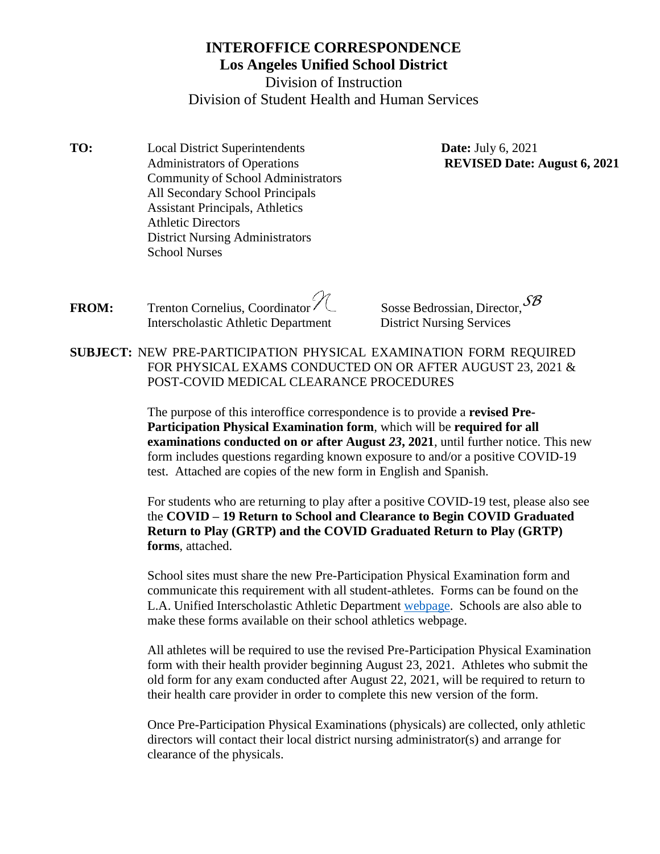# **INTEROFFICE CORRESPONDENCE Los Angeles Unified School District**

Division of Instruction Division of Student Health and Human Services

**TO:** Local District Superintendents **Date:** July 6, 2021 Administrators of Operations Community of School Administrators All Secondary School Principals Assistant Principals, Athletics Athletic Directors District Nursing Administrators School Nurses

**REVISED Date: August 6, 2021**

- **FROM:** Trenton Cornelius, Coordinator  $\sqrt{\ }$  Sosse Bedrossian, Director,  $\mathcal{SB}$ Interscholastic Athletic Department District Nursing Services
- **SUBJECT:** NEW PRE-PARTICIPATION PHYSICAL EXAMINATION FORM REQUIRED FOR PHYSICAL EXAMS CONDUCTED ON OR AFTER AUGUST 23, 2021 & POST-COVID MEDICAL CLEARANCE PROCEDURES

The purpose of this interoffice correspondence is to provide a **revised Pre-Participation Physical Examination form**, which will be **required for all examinations conducted on or after August** *23***, 2021**, until further notice. This new form includes questions regarding known exposure to and/or a positive COVID-19 test. Attached are copies of the new form in English and Spanish.

For students who are returning to play after a positive COVID-19 test, please also see the **COVID – 19 Return to School and Clearance to Begin COVID Graduated Return to Play (GRTP) and the COVID Graduated Return to Play (GRTP) forms**, attached.

School sites must share the new Pre-Participation Physical Examination form and communicate this requirement with all student-athletes. Forms can be found on the L.A. Unified Interscholastic Athletic Department [webpage.](https://achieve.lausd.net/athletics) Schools are also able to make these forms available on their school athletics webpage.

All athletes will be required to use the revised Pre-Participation Physical Examination form with their health provider beginning August 23, 2021. Athletes who submit the old form for any exam conducted after August 22, 2021, will be required to return to their health care provider in order to complete this new version of the form.

Once Pre-Participation Physical Examinations (physicals) are collected, only athletic directors will contact their local district nursing administrator(s) and arrange for clearance of the physicals.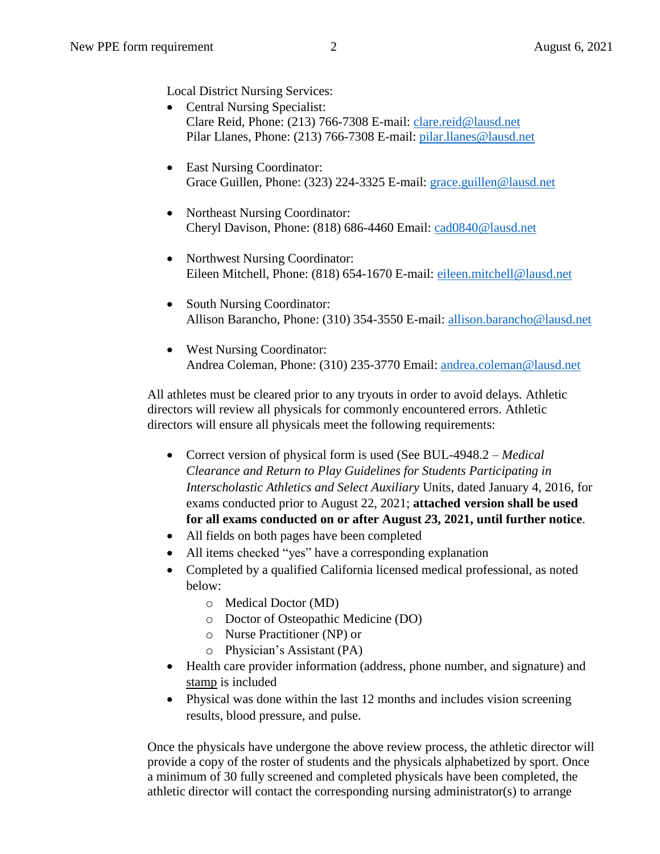- Central Nursing Specialist: Clare Reid, Phone: (213) 766-7308 E-mail: [clare.reid@lausd.net](mailto:clare.reid@lausd.net) Pilar Llanes, Phone: (213) 766-7308 E-mail: [pilar.llanes@lausd.net](mailto:pilar.llanes@lausd.net)
- East Nursing Coordinator: Grace Guillen, Phone: (323) 224-3325 E-mail: [grace.guillen@lausd.net](mailto:grace.guillen@lausd.net)
- Northeast Nursing Coordinator: Cheryl Davison, Phone: (818) 686-4460 Email: [cad0840@lausd.net](mailto:cad0840@lausd.net)
- Northwest Nursing Coordinator: Eileen Mitchell, Phone: (818) 654-1670 E-mail: [eileen.mitchell@lausd.net](mailto:eileen.mitchell@lausd.net)
- South Nursing Coordinator: Allison Barancho, Phone: (310) 354-3550 E-mail: [allison.barancho@lausd.net](mailto:allison.barancho@lausd.net)
- West Nursing Coordinator: Andrea Coleman, Phone: (310) 235-3770 Email: [andrea.coleman@lausd.net](mailto:andrea.coleman@lausd.net)

All athletes must be cleared prior to any tryouts in order to avoid delays. Athletic directors will review all physicals for commonly encountered errors. Athletic directors will ensure all physicals meet the following requirements:

- Correct version of physical form is used (See BUL-4948.2 *Medical Clearance and Return to Play Guidelines for Students Participating in Interscholastic Athletics and Select Auxiliary* Units, dated January 4, 2016, for exams conducted prior to August 22, 2021; **attached version shall be used for all exams conducted on or after August** *2***3, 2021, until further notice**.
- All fields on both pages have been completed
- All items checked "yes" have a corresponding explanation
- Completed by a qualified California licensed medical professional, as noted below:
	- o Medical Doctor (MD)
	- o Doctor of Osteopathic Medicine (DO)
	- o Nurse Practitioner (NP) or
	- o Physician's Assistant (PA)
- Health care provider information (address, phone number, and signature) and stamp is included
- Physical was done within the last 12 months and includes vision screening results, blood pressure, and pulse.

Once the physicals have undergone the above review process, the athletic director will provide a copy of the roster of students and the physicals alphabetized by sport. Once a minimum of 30 fully screened and completed physicals have been completed, the athletic director will contact the corresponding nursing administrator(s) to arrange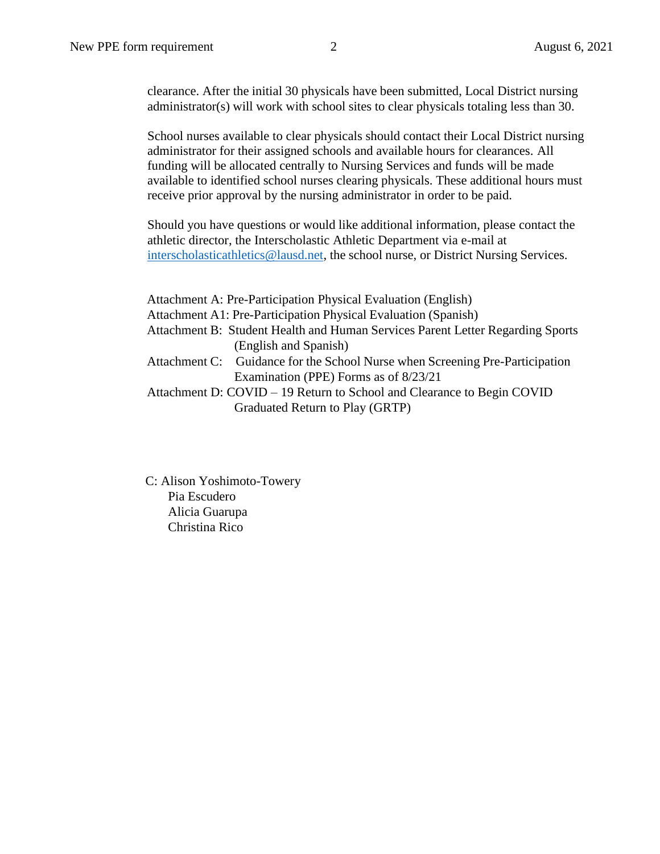clearance. After the initial 30 physicals have been submitted, Local District nursing administrator(s) will work with school sites to clear physicals totaling less than 30.

School nurses available to clear physicals should contact their Local District nursing administrator for their assigned schools and available hours for clearances. All funding will be allocated centrally to Nursing Services and funds will be made available to identified school nurses clearing physicals. These additional hours must receive prior approval by the nursing administrator in order to be paid.

Should you have questions or would like additional information, please contact the athletic director, the Interscholastic Athletic Department via e-mail at [interscholasticathletics@lausd.net,](mailto:interscholasticathletics@lausd.net) the school nurse, or District Nursing Services.

Attachment A: Pre-Participation Physical Evaluation (English) Attachment A1: Pre-Participation Physical Evaluation (Spanish) Attachment B: Student Health and Human Services Parent Letter Regarding Sports (English and Spanish) Attachment C: Guidance for the School Nurse when Screening Pre-Participation Examination (PPE) Forms as of 8/23/21 Attachment D: COVID – 19 Return to School and Clearance to Begin COVID Graduated Return to Play (GRTP)

C: Alison Yoshimoto-Towery Pia Escudero Alicia Guarupa Christina Rico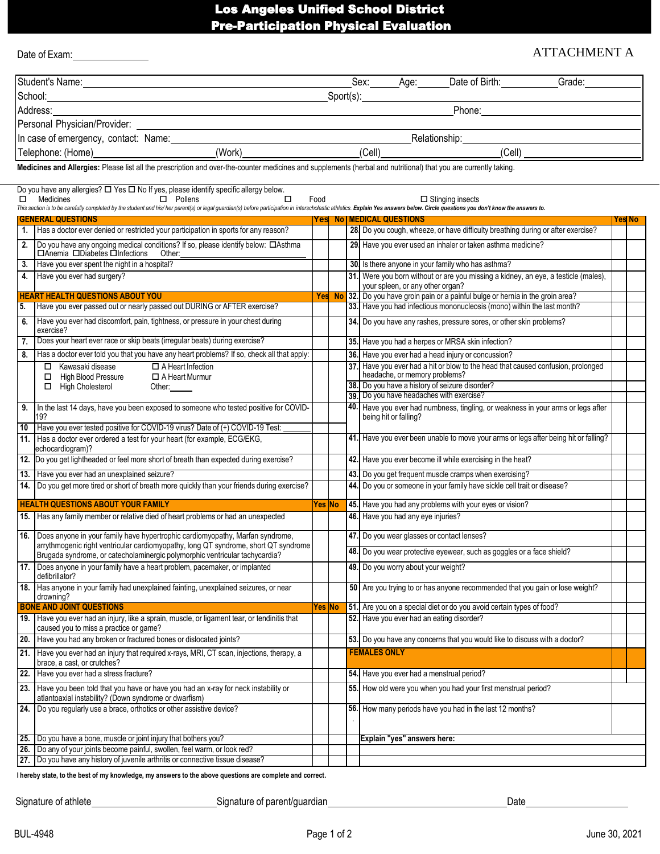# Los Angeles Unified School District Pre-Participation Physical Evaluation

|    | Date of Exam:                                                                                                                                                                                                                                                             |         |    |                                                                                                                                                              | <b>ATTACHMENT A</b> |               |  |
|----|---------------------------------------------------------------------------------------------------------------------------------------------------------------------------------------------------------------------------------------------------------------------------|---------|----|--------------------------------------------------------------------------------------------------------------------------------------------------------------|---------------------|---------------|--|
|    | Student's Name: Note of the Commission of the Commission of the Commission of the Commission of the Commission                                                                                                                                                            |         |    | Sex: Age: Date of Birth: Grade:                                                                                                                              |                     |               |  |
|    |                                                                                                                                                                                                                                                                           |         |    |                                                                                                                                                              |                     |               |  |
|    | Address:                                                                                                                                                                                                                                                                  |         |    |                                                                                                                                                              |                     |               |  |
|    |                                                                                                                                                                                                                                                                           |         |    |                                                                                                                                                              |                     |               |  |
|    |                                                                                                                                                                                                                                                                           |         |    |                                                                                                                                                              |                     |               |  |
|    |                                                                                                                                                                                                                                                                           |         |    |                                                                                                                                                              |                     |               |  |
|    | Medicines and Allergies: Please list all the prescription and over-the-counter medicines and supplements (herbal and nutritional) that you are currently taking.                                                                                                          |         |    |                                                                                                                                                              |                     |               |  |
|    |                                                                                                                                                                                                                                                                           |         |    |                                                                                                                                                              |                     |               |  |
|    | Do you have any allergies? □ Yes □ No If yes, please identify specific allergy below.                                                                                                                                                                                     |         |    |                                                                                                                                                              |                     |               |  |
|    | $\Box$ Pollens<br>0<br>$\Box$ Medicines<br>This section is to be carefully completed by the student and his/ her parent(s) or legal guardian(s) before participation in interscholastic athletics. Explain Yes answers below. Circle questions you don't know the answers | Food    |    | $\Box$ Stinging insects                                                                                                                                      |                     |               |  |
|    | <b>GENERAL QUESTIONS</b>                                                                                                                                                                                                                                                  | Yes     | No | <b>MEDICAL QUESTIONS</b>                                                                                                                                     |                     | <b>Yes No</b> |  |
|    | 1. Has a doctor ever denied or restricted your participation in sports for any reason?                                                                                                                                                                                    |         |    | 28. Do you cough, wheeze, or have difficulty breathing during or after exercise?                                                                             |                     |               |  |
| 2. | Do you have any ongoing medical conditions? If so, please identify below: CAsthma<br>□Anemia □Diabetes □Infections Other:                                                                                                                                                 |         |    | 29. Have you ever used an inhaler or taken asthma medicine?                                                                                                  |                     |               |  |
|    | 3. Have you ever spent the night in a hospital?                                                                                                                                                                                                                           |         |    | 30. Is there anyone in your family who has asthma?                                                                                                           |                     |               |  |
|    | 4. Have you ever had surgery?                                                                                                                                                                                                                                             |         |    | 31. Were you born without or are you missing a kidney, an eye, a testicle (males),                                                                           |                     |               |  |
|    | <b>HEART HEALTH QUESTIONS ABOUT YOU</b>                                                                                                                                                                                                                                   |         |    | your spleen, or any other organ?                                                                                                                             |                     |               |  |
|    | Have you ever passed out or nearly passed out DURING or AFTER exercise?                                                                                                                                                                                                   |         |    | Yes No 32. Do you have groin pain or a painful bulge or hernia in the groin area?<br>33. Have you had infectious mononucleosis (mono) within the last month? |                     |               |  |
|    | Have you ever had discomfort, pain, tightness, or pressure in your chest during                                                                                                                                                                                           |         |    | 34. Do you have any rashes, pressure sores, or other skin problems?                                                                                          |                     |               |  |
| 6. | exercise?<br>Does your heart ever race or skip beats (irregular beats) during exercise?                                                                                                                                                                                   |         |    |                                                                                                                                                              |                     |               |  |
| 7. |                                                                                                                                                                                                                                                                           |         |    | 35. Have you had a herpes or MRSA skin infection?                                                                                                            |                     |               |  |
| 8. | Has a doctor ever told you that you have any heart problems? If so, check all that apply:                                                                                                                                                                                 |         |    | 36. Have you ever had a head injury or concussion?<br>37. Have you ever had a hit or blow to the head that caused confusion, prolonged                       |                     |               |  |
|    | □ Kawasaki disease<br>$\Box$ A Heart Infection<br>High Blood Pressure<br>$\Box$ A Heart Murmur<br>□                                                                                                                                                                       |         |    | headache, or memory problems?                                                                                                                                |                     |               |  |
|    | $\Box$ High Cholesterol<br>Other:                                                                                                                                                                                                                                         |         |    | 38. Do you have a history of seizure disorder?                                                                                                               |                     |               |  |
|    |                                                                                                                                                                                                                                                                           |         |    | 39. Do you have headaches with exercise?                                                                                                                     |                     |               |  |
| 9. | In the last 14 days, have you been exposed to someone who tested positive for COVID-<br>19?                                                                                                                                                                               |         |    | 40. Have you ever had numbness, tingling, or weakness in your arms or legs after<br>being hit or falling?                                                    |                     |               |  |
|    | 10 Have you ever tested positive for COVID-19 virus? Date of (+) COVID-19 Test:                                                                                                                                                                                           |         |    | 41. Have you ever been unable to move your arms or legs after being hit or falling?                                                                          |                     |               |  |
|    | 11. Has a doctor ever ordered a test for your heart (for example, ECG/EKG,<br>echocardiogram)?                                                                                                                                                                            |         |    |                                                                                                                                                              |                     |               |  |
|    | 12. Do you get lightheaded or feel more short of breath than expected during exercise?                                                                                                                                                                                    |         |    | 42. Have you ever become ill while exercising in the heat?                                                                                                   |                     |               |  |
|    | 13. Have you ever had an unexplained seizure?                                                                                                                                                                                                                             |         |    | 43. Do you get frequent muscle cramps when exercising?                                                                                                       |                     |               |  |
|    | 14. Do you get more tired or short of breath more quickly than your friends during exercise?                                                                                                                                                                              |         |    | 44. Do you or someone in your family have sickle cell trait or disease?                                                                                      |                     |               |  |
|    | <b>HEALTH QUESTIONS ABOUT YOUR FAMILY</b>                                                                                                                                                                                                                                 | Yes  No |    | 45. Have you had any problems with your eyes or vision?                                                                                                      |                     |               |  |
|    | 15. Has any family member or relative died of heart problems or had an unexpected                                                                                                                                                                                         |         |    | 46. Have you had any eye injuries?                                                                                                                           |                     |               |  |
|    | 16. Does anyone in your family have hypertrophic cardiomyopathy, Marfan syndrome,<br>arrythmogenic right ventricular cardiomyopathy, long QT syndrome, short QT syndrome                                                                                                  |         |    | 47. Do you wear glasses or contact lenses?                                                                                                                   |                     |               |  |
|    | Brugada syndrome, or catecholaminergic polymorphic ventricular tachycardia?                                                                                                                                                                                               |         |    | 48. Do you wear protective eyewear, such as goggles or a face shield?                                                                                        |                     |               |  |
|    | 17. Does anyone in your family have a heart problem, pacemaker, or implanted<br>defibrillator?                                                                                                                                                                            |         |    | 49. Do you worry about your weight?                                                                                                                          |                     |               |  |
|    | 18. Has anyone in your family had unexplained fainting, unexplained seizures, or near<br>drowning?                                                                                                                                                                        |         |    | 50 Are you trying to or has anyone recommended that you gain or lose weight?                                                                                 |                     |               |  |
|    | <b>BONE AND JOINT QUESTIONS</b>                                                                                                                                                                                                                                           | Yes  No |    | 51. Are you on a special diet or do you avoid certain types of food?                                                                                         |                     |               |  |
|    | 19. Have you ever had an injury, like a sprain, muscle, or ligament tear, or tendinitis that<br>caused you to miss a practice or game?                                                                                                                                    |         |    | 52. Have you ever had an eating disorder?                                                                                                                    |                     |               |  |
|    | 20. Have you had any broken or fractured bones or dislocated joints?                                                                                                                                                                                                      |         |    | 53. Do you have any concerns that you would like to discuss with a doctor?                                                                                   |                     |               |  |
|    | 21. Have you ever had an injury that required x-rays, MRI, CT scan, injections, therapy, a<br>brace, a cast, or crutches?                                                                                                                                                 |         |    | <b>FEMALES ONLY</b>                                                                                                                                          |                     |               |  |
|    | 22. Have you ever had a stress fracture?                                                                                                                                                                                                                                  |         |    | 54. Have you ever had a menstrual period?                                                                                                                    |                     |               |  |
|    | 23. Have you been told that you have or have you had an x-ray for neck instability or                                                                                                                                                                                     |         |    | 55. How old were you when you had your first menstrual period?                                                                                               |                     |               |  |
|    | atlantoaxial instability? (Down syndrome or dwarfism)<br>24. Do you regularly use a brace, orthotics or other assistive device?                                                                                                                                           |         |    | 56. How many periods have you had in the last 12 months?                                                                                                     |                     |               |  |
|    |                                                                                                                                                                                                                                                                           |         |    |                                                                                                                                                              |                     |               |  |
|    |                                                                                                                                                                                                                                                                           |         |    |                                                                                                                                                              |                     |               |  |
|    | 25. Do you have a bone, muscle or joint injury that bothers you?<br>26. Do any of your joints become painful, swollen, feel warm, or look red?                                                                                                                            |         |    | Explain "yes" answers here:                                                                                                                                  |                     |               |  |
|    | 27. Do you have any history of juvenile arthritis or connective tissue disease?                                                                                                                                                                                           |         |    |                                                                                                                                                              |                     |               |  |

I hereby state, to the best of my knowledge, my answers to the above questions are complete and correct.

Signature of athlete Signature of parent/guardian Date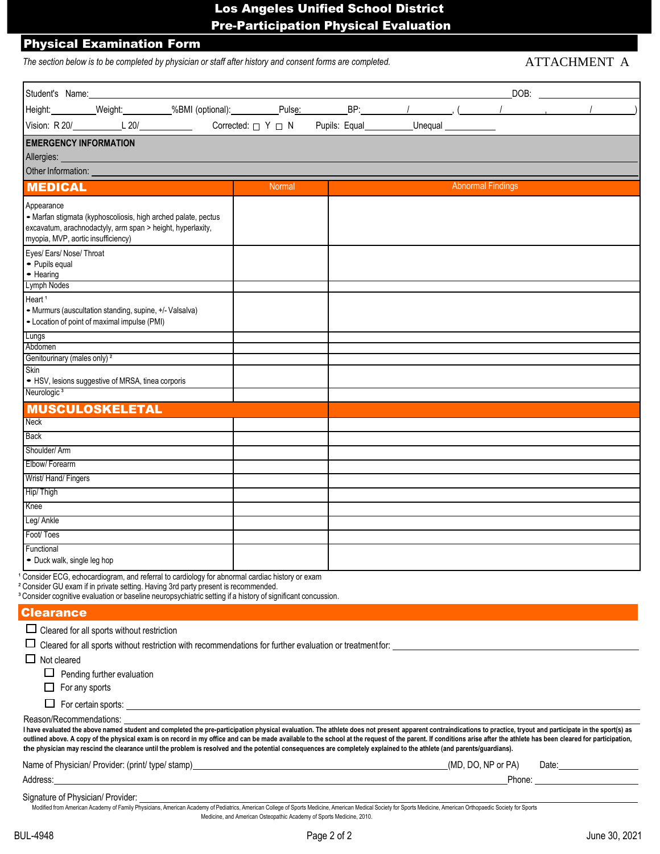# Los Angeles Unified School District Pre-Participation Physical Evaluation

#### Physical Examination Form

The section below is to be completed by physician or staff after history and consent forms are completed. ATTACHMENT A

| Student's Name:                                    |                                                               |                                                                                               |        |  |                          |  |
|----------------------------------------------------|---------------------------------------------------------------|-----------------------------------------------------------------------------------------------|--------|--|--------------------------|--|
|                                                    |                                                               |                                                                                               |        |  |                          |  |
|                                                    | Vision: $R$ 20/ $\angle$ 20/ $\angle$ 20/ $\angle$            |                                                                                               |        |  |                          |  |
| <b>EMERGENCY INFORMATION</b>                       |                                                               |                                                                                               |        |  |                          |  |
|                                                    |                                                               |                                                                                               |        |  |                          |  |
| Other Information:                                 |                                                               |                                                                                               |        |  |                          |  |
| <b>MEDICAL</b>                                     |                                                               |                                                                                               | Normal |  | <b>Abnormal Findings</b> |  |
| Appearance                                         |                                                               |                                                                                               |        |  |                          |  |
|                                                    | - Marfan stigmata (kyphoscoliosis, high arched palate, pectus |                                                                                               |        |  |                          |  |
| myopia, MVP, aortic insufficiency)                 | excavatum, arachnodactyly, arm span > height, hyperlaxity,    |                                                                                               |        |  |                          |  |
| Eyes/ Ears/ Nose/ Throat                           |                                                               |                                                                                               |        |  |                          |  |
| • Pupils equal<br>• Hearing                        |                                                               |                                                                                               |        |  |                          |  |
| Lymph Nodes                                        |                                                               |                                                                                               |        |  |                          |  |
| Heart <sup>1</sup>                                 |                                                               |                                                                                               |        |  |                          |  |
|                                                    | • Murmurs (auscultation standing, supine, +/- Valsalva)       |                                                                                               |        |  |                          |  |
|                                                    | - Location of point of maximal impulse (PMI)                  |                                                                                               |        |  |                          |  |
| Lungs                                              |                                                               |                                                                                               |        |  |                          |  |
| Abdomen<br>Genitourinary (males only) <sup>2</sup> |                                                               |                                                                                               |        |  |                          |  |
| Skin                                               |                                                               |                                                                                               |        |  |                          |  |
|                                                    | • HSV, lesions suggestive of MRSA, tinea corporis             |                                                                                               |        |  |                          |  |
| Neurologic <sup>3</sup>                            |                                                               |                                                                                               |        |  |                          |  |
|                                                    | <b>MUSCULOSKELETAL</b>                                        |                                                                                               |        |  |                          |  |
| <b>Neck</b>                                        |                                                               |                                                                                               |        |  |                          |  |
| Back                                               |                                                               |                                                                                               |        |  |                          |  |
| Shoulder/Arm                                       |                                                               |                                                                                               |        |  |                          |  |
| Elbow/Forearm                                      |                                                               |                                                                                               |        |  |                          |  |
| Wrist/Hand/Fingers                                 |                                                               |                                                                                               |        |  |                          |  |
| Hip/Thigh                                          |                                                               |                                                                                               |        |  |                          |  |
| Knee                                               |                                                               |                                                                                               |        |  |                          |  |
| Leg/ Ankle                                         |                                                               |                                                                                               |        |  |                          |  |
| Foot/Toes                                          |                                                               |                                                                                               |        |  |                          |  |
| Functional                                         |                                                               |                                                                                               |        |  |                          |  |
| • Duck walk, single leg hop                        |                                                               |                                                                                               |        |  |                          |  |
|                                                    |                                                               | Consider ECG, echocardiogram, and referral to cardiology for abnormal cardiac history or exam |        |  |                          |  |

<sup>2</sup> Consider GU exam if in private setting. Having 3rd party present is recommended.

<sup>3</sup> Consider cognitive evaluation or baseline neuropsychiatric setting if a history of significant concussion.

#### **Clearance**

 $\Box$  Cleared for all sports without restriction

 $\Box$  Cleared for all sports without restriction with recommendations for further evaluation or treatment for:

 $\Box$  Not cleared

 $\Box$  Pending further evaluation

 $\Box$  For any sports

 $\Box$  For certain sports:

Reason/Recommendations:

I have evaluated the above named student and completed the pre-participation physical evaluation. The athlete does not present apparent contraindications to practice, tryout and participate in the sport(s) as outlined above. A copy of the physical exam is on record in my office and can be made available to the school at the request of the parent. If conditions arise after the athlete has been cleared for participation, the physician may rescind the clearance until the problem is resolved and the potential consequences are completely explained to the athlete (and parents/guardians).

| Name of l<br>if Physician/ Provider: (print/ type/ stamp) | NP or PA)<br>(MD.<br>Date:<br>DO. I |
|-----------------------------------------------------------|-------------------------------------|
| Address:                                                  | Phone:                              |
|                                                           |                                     |

Signature of Physician/ Provider:

Modified from American Academy of Family Physicians, American Academy of Pediatrics, American College of Sports Medicine, American Society for Sports Medicine, American Orthopaedic Society for Sports Medicine, and American Osteopathic Academy of Sports Medicine, 2010.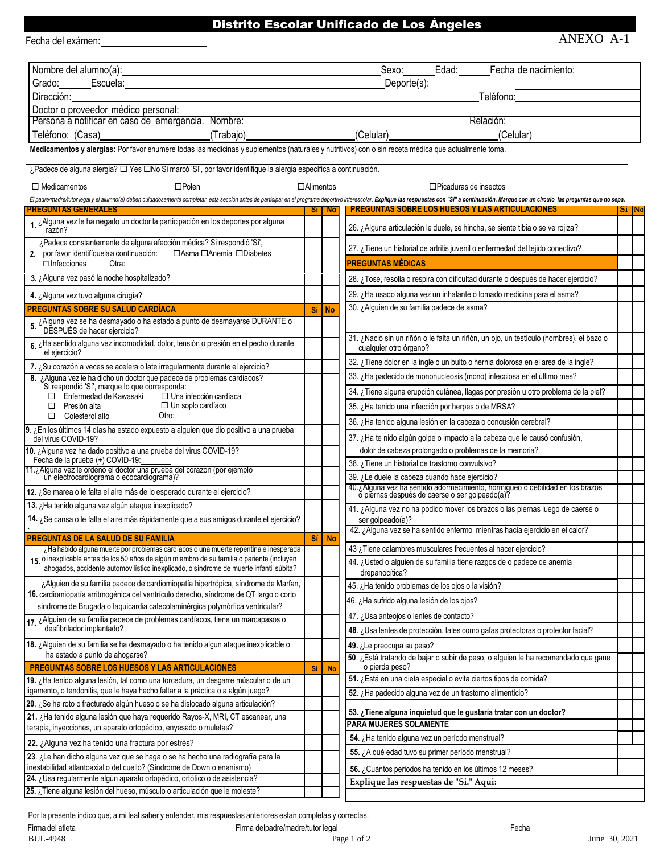## Distrito Escolar Unificado de Los Ángeles

| Fecha del exámen:                                                                                                                                                                                                                                        |       |                  | ANEXO A-1                                                                                                                                                                                                                      |              |
|----------------------------------------------------------------------------------------------------------------------------------------------------------------------------------------------------------------------------------------------------------|-------|------------------|--------------------------------------------------------------------------------------------------------------------------------------------------------------------------------------------------------------------------------|--------------|
| Nombre del alumno(a):<br>Mombre del alumno(a):                                                                                                                                                                                                           |       |                  | Edad:<br>Fecha de nacimiento:<br>Sexo:                                                                                                                                                                                         |              |
| Grado: Escuela: Escuela: Escuela: Escuela: Escuela: Escuela: Escuela: Escuela: Escuela: Escuela: Escuela: Esc                                                                                                                                            |       |                  | Deporte(s):                                                                                                                                                                                                                    |              |
| Dirección:                                                                                                                                                                                                                                               |       |                  | Teléfono: and a state of the state of the state of the state of the state of the state of the state of the state of the state of the state of the state of the state of the state of the state of the state of the state of th |              |
| Doctor o proveedor médico personal:                                                                                                                                                                                                                      |       |                  |                                                                                                                                                                                                                                |              |
| Persona a notificar en caso de emergencia. Nombre: versona a notificar en caso de emergencia.                                                                                                                                                            |       |                  | Relación:                                                                                                                                                                                                                      |              |
| (Trabajo) <b>Contract Contract Contract Contract Contract Contract Contract Contract Contract Contract Contract Contract Contract Contract Contract Contract Contract Contract Contract Contract Contract Contract Contract Cont</b><br>Teléfono: (Casa) |       |                  | (Celular)<br>(Celular)                                                                                                                                                                                                         |              |
| Medicamentos y alergias: Por favor enumere todas las medicinas y suplementos (naturales y nutritivos) con o sin receta médica que actualmente toma.                                                                                                      |       |                  |                                                                                                                                                                                                                                |              |
| ¿Padece de alguna alergia? $\Box$ Yes $\Box$ No Si marcó 'Sí', por favor identifique la alergia específica a continuación.                                                                                                                               |       |                  |                                                                                                                                                                                                                                |              |
| $\square$ Polen<br>$\Box$ Medicamentos                                                                                                                                                                                                                   |       | $\Box$ Alimentos | $\Box$ Picaduras de insectos                                                                                                                                                                                                   |              |
|                                                                                                                                                                                                                                                          |       |                  | El padre/madre/tutor legal y el alumno(a) deben cuidadosamente completar esta sección antes de participar en el programa deportivo interescolar. Explique las respuestas con "Si" a continuación. Marque con un circulo las pr |              |
| PREGUNTAS GENERALES                                                                                                                                                                                                                                      | -Si I | <b>No</b>        | <b>PREGUNTAS SOBRE LOS HUESOS Y LAS ARTICULACIONES</b>                                                                                                                                                                         | <b>Si</b> No |
| 1. ¿Alguna vez le ha negado un doctor la participación en los deportes por alguna<br>razón?                                                                                                                                                              |       |                  | 26. ¿Alguna articulación le duele, se hincha, se siente tibia o se ve rojiza?                                                                                                                                                  |              |
| ¿Padece constantemente de alguna afección médica? Si respondió 'Sí',                                                                                                                                                                                     |       |                  | 27. ¿Tiene un historial de artritis juvenil o enfermedad del tejido conectivo?                                                                                                                                                 |              |
|                                                                                                                                                                                                                                                          |       |                  |                                                                                                                                                                                                                                |              |
| $\Box$ Infecciones<br>Otra:                                                                                                                                                                                                                              |       |                  | <b>PREGUNTAS MÉDICAS</b>                                                                                                                                                                                                       |              |
| 3. ¿Alguna vez pasó la noche hospitalizado?                                                                                                                                                                                                              |       |                  | 28. ¿Tose, resolla o respira con dificultad durante o después de hacer ejercicio?                                                                                                                                              |              |
| 4. ¿Alguna vez tuvo alguna cirugía?                                                                                                                                                                                                                      |       |                  | 29. ¿Ha usado alguna vez un inhalante o tomado medicina para el asma?                                                                                                                                                          |              |
| <b>PREGUNTAS SOBRE SU SALUD CARDÍACA</b>                                                                                                                                                                                                                 | Sí    | <b>No</b>        | 30. ¿Alguien de su familia padece de asma?                                                                                                                                                                                     |              |
| 5. ¿Alguna vez se ha desmayado o ha estado a punto de desmayarse DURANTE o DESPUÉS de hacer ejercicio?                                                                                                                                                   |       |                  |                                                                                                                                                                                                                                |              |
| 6. ¿Ha sentido alguna vez incomodidad, dolor, tensión o presión en el pecho durante<br>el ejercicio?                                                                                                                                                     |       |                  | 31. ¿Nació sin un riñón o le falta un riñón, un ojo, un testículo (hombres), el bazo o<br>cualquier otro órgano?                                                                                                               |              |
| 7. ¿Su corazón a veces se acelera o late irregularmente durante el ejercicio?                                                                                                                                                                            |       |                  | 32. ¿Tiene dolor en la ingle o un bulto o hernia dolorosa en el area de la ingle?                                                                                                                                              |              |
| 8. ¿Alguna vez le ha dicho un doctor que padece de problemas cardiacos?                                                                                                                                                                                  |       |                  | 33. ¿Ha padecido de mononucleosis (mono) infecciosa en el último mes?                                                                                                                                                          |              |
| Si respondió 'Sí', marque lo que corresponda:<br>$\Box$ Enfermedad de Kawasaki<br>$\Box$ Una infección cardíaca                                                                                                                                          |       |                  | 34. ¿Tiene alguna erupción cutánea, llagas por presión u otro problema de la piel?                                                                                                                                             |              |
| $\Box$ Un soplo cardíaco<br>$\Box$ Presión alta                                                                                                                                                                                                          |       |                  | 35. ¿Ha tenido una infección por herpes o de MRSA?                                                                                                                                                                             |              |
| $\Box$ Colesterol alto<br>Otro:                                                                                                                                                                                                                          |       |                  | 36. ¿Ha tenido alguna lesión en la cabeza o concusión cerebral?                                                                                                                                                                |              |
| 9. ¿En los últimos 14 días ha estado expuesto a alguien que dio positivo a una prueba<br>del virus COVID-19?                                                                                                                                             |       |                  | 37. ¿Ha te nido algún golpe o impacto a la cabeza que le causó confusión,                                                                                                                                                      |              |
| 10. ¿Alguna vez ha dado positivo a una prueba del virus COVID-19?                                                                                                                                                                                        |       |                  | dolor de cabeza prolongado o problemas de la memoria?                                                                                                                                                                          |              |
| Fecha de la prueba (+) COVID-19:<br>71. ¿Alguna vez le ordenó el doctor una prueba del corazón (por ejemplo un electrocardiograma o ecocardiograma)?                                                                                                     |       |                  | 38. ¿Tiene un historial de trastorno convulsivo?                                                                                                                                                                               |              |
|                                                                                                                                                                                                                                                          |       |                  | 39. ¿Le duele la cabeza cuando hace ejercicio?                                                                                                                                                                                 |              |
| 12. ¿Se marea o le falta el aire más de lo esperado durante el ejercicio?                                                                                                                                                                                |       |                  | 40. ¿Alguna vez ha sentido adormecimiento, hormigueo o debilidad en los brazos ó piernas después de caerse o ser golpeado(a)?                                                                                                  |              |
| 13. ¿Ha tenido alguna vez algún ataque inexplicado?                                                                                                                                                                                                      |       |                  | 41. ¿Alguna vez no ha podido mover los brazos o las piernas luego de caerse o                                                                                                                                                  |              |
| 14. ¿Se cansa o le falta el aire más rápidamente que a sus amigos durante el ejercicio?                                                                                                                                                                  |       |                  | ser golpeado(a)?                                                                                                                                                                                                               |              |
| <b>PREGUNTAS DE LA SALUD DE SU FAMILIA</b>                                                                                                                                                                                                               | Sí    | <b>No</b>        | 42. ¿Alguna vez se ha sentido enfermo mientras hacía ejercicio en el calor?                                                                                                                                                    |              |
| ¿Ha habido alguna muerte por problemas cardíacos o una muerte repentina e inesperada                                                                                                                                                                     |       |                  | 43 ¿Tiene calambres musculares frecuentes al hacer ejercicio?                                                                                                                                                                  |              |
| 15 o inexplicable antes de los 50 años de algún miembro de su familia o pariente (incluyen<br>ahogados, accidente automovilístico inexplicado, o síndrome de muerte infantil súbita?                                                                     |       |                  | 44. ¿Usted o alguien de su familia tiene razgos de o padece de anemia<br>drepanocítica?                                                                                                                                        |              |
| ¿Alguien de su familia padece de cardiomiopatía hipertrópica, síndrome de Marfan,                                                                                                                                                                        |       |                  | 45. ¿Ha tenido problemas de los ojos o la visión?                                                                                                                                                                              |              |
| 16. cardiomiopatía arritmogénica del ventrículo derecho, síndrome de QT largo o corto                                                                                                                                                                    |       |                  | 46. ¿Ha sufrido alguna lesión de los ojos?                                                                                                                                                                                     |              |
| síndrome de Brugada o taquicardia catecolaminérgica polymórfica ventricular?                                                                                                                                                                             |       |                  | 47. ¿Usa anteojos o lentes de contacto?                                                                                                                                                                                        |              |
| 17 ¿Alguien de su familia padece de problemas cardíacos, tiene un marcapasos o<br>desfibrilador implantado?                                                                                                                                              |       |                  | 48. ¿Usa lentes de protección, tales como gafas protectoras o protector facial?                                                                                                                                                |              |
| 18. ¿Alguien de su familia se ha desmayado o ha tenido algun ataque inexplicable o                                                                                                                                                                       |       |                  | 49. ¿Le preocupa su peso?                                                                                                                                                                                                      |              |
| ha estado a punto de ahogarse?                                                                                                                                                                                                                           |       |                  | 50. ¿Está tratando de bajar o subir de peso, o alguien le ha recomendado que gane                                                                                                                                              |              |
| <b>PREGUNTAS SOBRE LOS HUESOS Y LAS ARTICULACIONES</b>                                                                                                                                                                                                   | Sí    | <b>No</b>        | o pierda peso?<br>51. ¿Está en una dieta especial o evita ciertos tipos de comida?                                                                                                                                             |              |
| 19. ¿Ha tenido alguna lesión, tal como una torcedura, un desgarre múscular o de un<br>ligamento, o tendonitis, que le haya hecho faltar a la práctica o a algún juego?                                                                                   |       |                  | 52. ¿Ha padecido alguna vez de un trastorno alimenticio?                                                                                                                                                                       |              |
| 20. ¿Se ha roto o fracturado algún hueso o se ha dislocado alguna articulación?                                                                                                                                                                          |       |                  |                                                                                                                                                                                                                                |              |
| 21. ¿Ha tenido alguna lesión que haya requerido Rayos-X, MRI, CT escanear, una                                                                                                                                                                           |       |                  | 53. ¿Tiene alguna inquietud que le gustaría tratar con un doctor?                                                                                                                                                              |              |
| terapia, inyecciones, un aparato ortopédico, enyesado o muletas?                                                                                                                                                                                         |       |                  | PARA MUJERES SOLAMENTE                                                                                                                                                                                                         |              |
| 22. ¿Alguna vez ha tenido una fractura por estrés?                                                                                                                                                                                                       |       |                  | 54. ¿Ha tenido alguna vez un período menstrual?                                                                                                                                                                                |              |
| 23. ¿Le han dicho alguna vez que se haga o se ha hecho una radiografía para la                                                                                                                                                                           |       |                  | 55. ¿A qué edad tuvo su primer período menstrual?                                                                                                                                                                              |              |
| inestabilidad atlantoaxial o del cuello? (Síndrome de Down o enanismo)                                                                                                                                                                                   |       |                  | 56. ¿Cuántos periodos ha tenido en los últimos 12 meses?                                                                                                                                                                       |              |
| 24. ¿Usa regularmente algún aparato ortopédico, ortótico o de asistencia?                                                                                                                                                                                |       |                  | Explique las respuestas de "Si." Aqui:                                                                                                                                                                                         |              |
| 25. ¿Tiene alguna lesión del hueso, músculo o articulación que le moleste?                                                                                                                                                                               |       |                  |                                                                                                                                                                                                                                |              |

Por la presente indico que, a mi leal saber y entender, mis respuestas anteriores estan completas y correctas.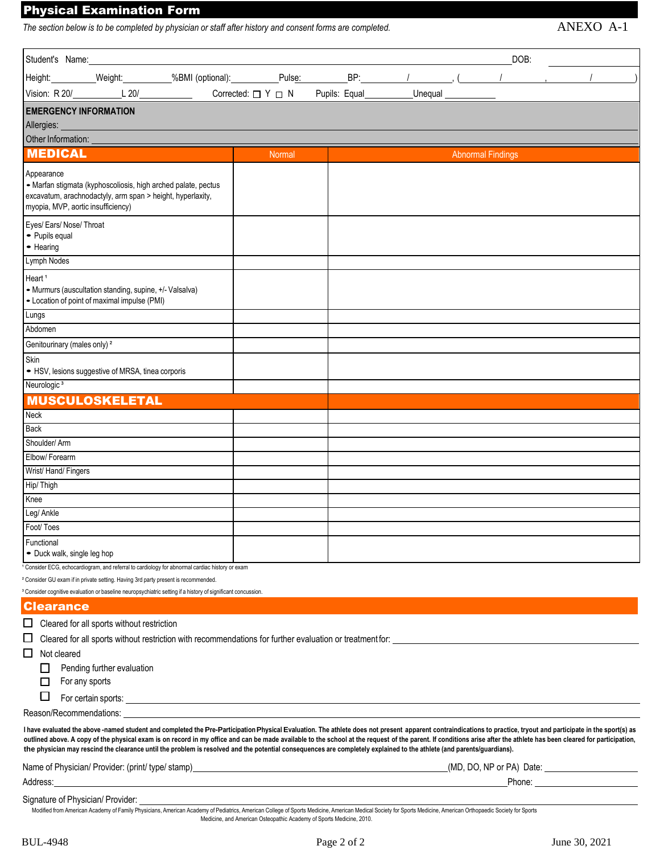## Physical Examination Form

The section below is to be completed by physician or staff after history and consent forms are completed.  $ANEXO$   $A-1$ 

| Student's Name:                         |                                                                                               |                                                                                                                                                                                                                                      |        |                                                  |                          | DOB: |                                                                                                                                                                                                                       |
|-----------------------------------------|-----------------------------------------------------------------------------------------------|--------------------------------------------------------------------------------------------------------------------------------------------------------------------------------------------------------------------------------------|--------|--------------------------------------------------|--------------------------|------|-----------------------------------------------------------------------------------------------------------------------------------------------------------------------------------------------------------------------|
|                                         |                                                                                               |                                                                                                                                                                                                                                      |        |                                                  |                          |      |                                                                                                                                                                                                                       |
|                                         |                                                                                               |                                                                                                                                                                                                                                      |        | Corrected: $\Box Y \Box N$ Pupils: Equal Unequal |                          |      |                                                                                                                                                                                                                       |
| <b>EMERGENCY INFORMATION</b>            |                                                                                               |                                                                                                                                                                                                                                      |        |                                                  |                          |      |                                                                                                                                                                                                                       |
| Allergies:                              |                                                                                               |                                                                                                                                                                                                                                      |        |                                                  |                          |      |                                                                                                                                                                                                                       |
|                                         |                                                                                               |                                                                                                                                                                                                                                      |        |                                                  |                          |      |                                                                                                                                                                                                                       |
| <b>MEDICAL</b>                          |                                                                                               |                                                                                                                                                                                                                                      | Normal |                                                  | <b>Abnormal Findings</b> |      |                                                                                                                                                                                                                       |
|                                         |                                                                                               |                                                                                                                                                                                                                                      |        |                                                  |                          |      |                                                                                                                                                                                                                       |
| Appearance                              | • Marfan stigmata (kyphoscoliosis, high arched palate, pectus                                 |                                                                                                                                                                                                                                      |        |                                                  |                          |      |                                                                                                                                                                                                                       |
|                                         | excavatum, arachnodactyly, arm span > height, hyperlaxity,                                    |                                                                                                                                                                                                                                      |        |                                                  |                          |      |                                                                                                                                                                                                                       |
| myopia, MVP, aortic insufficiency)      |                                                                                               |                                                                                                                                                                                                                                      |        |                                                  |                          |      |                                                                                                                                                                                                                       |
| Eyes/ Ears/ Nose/ Throat                |                                                                                               |                                                                                                                                                                                                                                      |        |                                                  |                          |      |                                                                                                                                                                                                                       |
| • Pupils equal                          |                                                                                               |                                                                                                                                                                                                                                      |        |                                                  |                          |      |                                                                                                                                                                                                                       |
| • Hearing                               |                                                                                               |                                                                                                                                                                                                                                      |        |                                                  |                          |      |                                                                                                                                                                                                                       |
| Lymph Nodes                             |                                                                                               |                                                                                                                                                                                                                                      |        |                                                  |                          |      |                                                                                                                                                                                                                       |
| Heart <sup>1</sup>                      |                                                                                               |                                                                                                                                                                                                                                      |        |                                                  |                          |      |                                                                                                                                                                                                                       |
|                                         | • Murmurs (auscultation standing, supine, +/- Valsalva)                                       |                                                                                                                                                                                                                                      |        |                                                  |                          |      |                                                                                                                                                                                                                       |
|                                         | • Location of point of maximal impulse (PMI)                                                  |                                                                                                                                                                                                                                      |        |                                                  |                          |      |                                                                                                                                                                                                                       |
| Lungs                                   |                                                                                               |                                                                                                                                                                                                                                      |        |                                                  |                          |      |                                                                                                                                                                                                                       |
| Abdomen                                 |                                                                                               |                                                                                                                                                                                                                                      |        |                                                  |                          |      |                                                                                                                                                                                                                       |
| Genitourinary (males only) <sup>2</sup> |                                                                                               |                                                                                                                                                                                                                                      |        |                                                  |                          |      |                                                                                                                                                                                                                       |
| Skin                                    | • HSV, lesions suggestive of MRSA, tinea corporis                                             |                                                                                                                                                                                                                                      |        |                                                  |                          |      |                                                                                                                                                                                                                       |
| Neurologic <sup>3</sup>                 |                                                                                               |                                                                                                                                                                                                                                      |        |                                                  |                          |      |                                                                                                                                                                                                                       |
|                                         |                                                                                               |                                                                                                                                                                                                                                      |        |                                                  |                          |      |                                                                                                                                                                                                                       |
| Neck                                    | <b>MUSCULOSKELETAL</b>                                                                        |                                                                                                                                                                                                                                      |        |                                                  |                          |      |                                                                                                                                                                                                                       |
| Back                                    |                                                                                               |                                                                                                                                                                                                                                      |        |                                                  |                          |      |                                                                                                                                                                                                                       |
| Shoulder/Arm                            |                                                                                               |                                                                                                                                                                                                                                      |        |                                                  |                          |      |                                                                                                                                                                                                                       |
| Elbow/Forearm                           |                                                                                               |                                                                                                                                                                                                                                      |        |                                                  |                          |      |                                                                                                                                                                                                                       |
| Wrist/Hand/Fingers                      |                                                                                               |                                                                                                                                                                                                                                      |        |                                                  |                          |      |                                                                                                                                                                                                                       |
| Hip/Thigh                               |                                                                                               |                                                                                                                                                                                                                                      |        |                                                  |                          |      |                                                                                                                                                                                                                       |
| Knee                                    |                                                                                               |                                                                                                                                                                                                                                      |        |                                                  |                          |      |                                                                                                                                                                                                                       |
| Leg/ Ankle                              |                                                                                               |                                                                                                                                                                                                                                      |        |                                                  |                          |      |                                                                                                                                                                                                                       |
| Foot/Toes                               |                                                                                               |                                                                                                                                                                                                                                      |        |                                                  |                          |      |                                                                                                                                                                                                                       |
| Functional                              |                                                                                               |                                                                                                                                                                                                                                      |        |                                                  |                          |      |                                                                                                                                                                                                                       |
| • Duck walk, single leg hop             |                                                                                               |                                                                                                                                                                                                                                      |        |                                                  |                          |      |                                                                                                                                                                                                                       |
|                                         |                                                                                               | Consider ECG, echocardiogram, and referral to cardiology for abnormal cardiac history or exam                                                                                                                                        |        |                                                  |                          |      |                                                                                                                                                                                                                       |
|                                         | <sup>2</sup> Consider GU exam if in private setting. Having 3rd party present is recommended. |                                                                                                                                                                                                                                      |        |                                                  |                          |      |                                                                                                                                                                                                                       |
|                                         |                                                                                               | <sup>3</sup> Consider cognitive evaluation or baseline neuropsychiatric setting if a history of significant concussion.                                                                                                              |        |                                                  |                          |      |                                                                                                                                                                                                                       |
| <b>Clearance</b>                        |                                                                                               |                                                                                                                                                                                                                                      |        |                                                  |                          |      |                                                                                                                                                                                                                       |
|                                         | $\Box$ Cleared for all sports without restriction                                             |                                                                                                                                                                                                                                      |        |                                                  |                          |      |                                                                                                                                                                                                                       |
| □                                       |                                                                                               | Cleared for all sports without restriction with recommendations for further evaluation or treatment for:                                                                                                                             |        |                                                  |                          |      |                                                                                                                                                                                                                       |
| $\Box$<br>Not cleared                   |                                                                                               |                                                                                                                                                                                                                                      |        |                                                  |                          |      |                                                                                                                                                                                                                       |
|                                         | Pending further evaluation                                                                    |                                                                                                                                                                                                                                      |        |                                                  |                          |      |                                                                                                                                                                                                                       |
| $\Box$                                  | For any sports                                                                                |                                                                                                                                                                                                                                      |        |                                                  |                          |      |                                                                                                                                                                                                                       |
| $\Box$                                  |                                                                                               | For certain sports: <u>example and contract and contract and contract and contract and contract and contract and contract and contract and contract and contract and contract and contract and contract and contract and contrac</u> |        |                                                  |                          |      |                                                                                                                                                                                                                       |
|                                         |                                                                                               | Reason/Recommendations: example and the set of the set of the set of the set of the set of the set of the set of the set of the set of the set of the set of the set of the set of the set of the set of the set of the set of       |        |                                                  |                          |      |                                                                                                                                                                                                                       |
|                                         |                                                                                               |                                                                                                                                                                                                                                      |        |                                                  |                          |      | I have evaluated the above-named student and completed the Pre-Participation Physical Evaluation. The athlete does not present apparent contraindications to practice, tryout and participate in the sport(s) as      |
|                                         |                                                                                               | the physician may rescind the clearance until the problem is resolved and the potential consequences are completely explained to the athlete (and parents/guardians).                                                                |        |                                                  |                          |      | outlined above. A copy of the physical exam is on record in my office and can be made available to the school at the request of the parent. If conditions arise after the athlete has been cleared for participation, |
|                                         |                                                                                               |                                                                                                                                                                                                                                      |        |                                                  |                          |      |                                                                                                                                                                                                                       |
| Address:                                |                                                                                               | <u> 1989 - Johann Stoff, deutscher Stoffen und der Stoffen und der Stoffen und der Stoffen und der Stoffen und der</u>                                                                                                               |        |                                                  |                          |      |                                                                                                                                                                                                                       |
|                                         |                                                                                               |                                                                                                                                                                                                                                      |        |                                                  |                          |      |                                                                                                                                                                                                                       |

Signature of Physician/ Provider:

Modified from American Academy of Family Physicians, American Academy of Pediatrics, American College of Sports Medicine, American Medical Society for Sports Medicine, American Orthopaedic Society for Sports Medicine, and American Osteopathic Academy of Sports Medicine, 2010.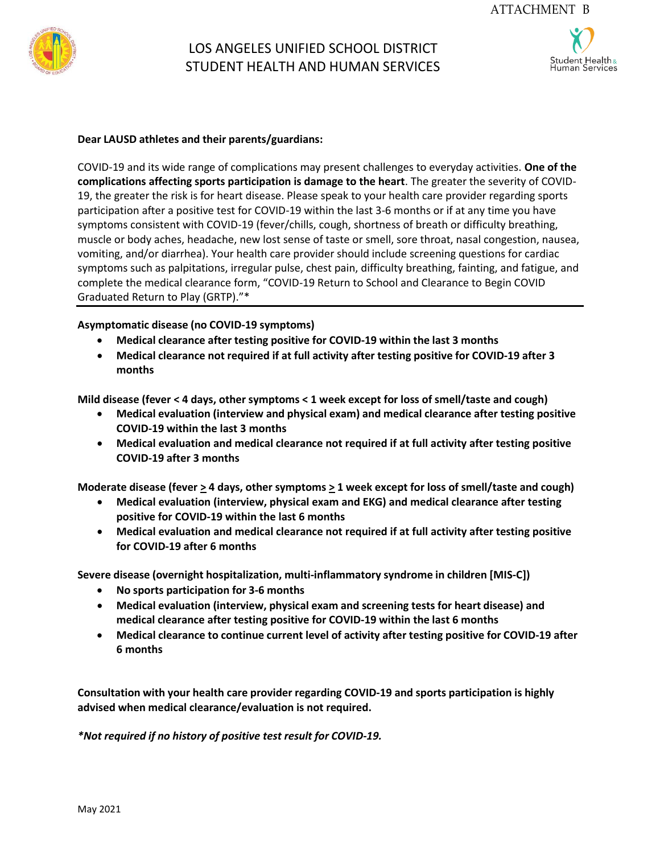

# LOS ANGELES UNIFIED SCHOOL DISTRICT STUDENT HEALTH AND HUMAN SERVICES

Student Health $\it s$ 

#### **Dear LAUSD athletes and their parents/guardians:**

COVID-19 and its wide range of complications may present challenges to everyday activities. **One of the complications affecting sports participation is damage to the heart**. The greater the severity of COVID-19, the greater the risk is for heart disease. Please speak to your health care provider regarding sports participation after a positive test for COVID-19 within the last 3-6 months or if at any time you have symptoms consistent with COVID-19 (fever/chills, cough, shortness of breath or difficulty breathing, muscle or body aches, headache, new lost sense of taste or smell, sore throat, nasal congestion, nausea, vomiting, and/or diarrhea). Your health care provider should include screening questions for cardiac symptoms such as palpitations, irregular pulse, chest pain, difficulty breathing, fainting, and fatigue, and complete the medical clearance form, "COVID-19 Return to School and Clearance to Begin COVID Graduated Return to Play (GRTP)."\*

### **Asymptomatic disease (no COVID-19 symptoms)**

- **Medical clearance after testing positive for COVID-19 within the last 3 months**
- **Medical clearance not required if at full activity after testing positive for COVID-19 after 3 months**

**Mild disease (fever < 4 days, other symptoms < 1 week except for loss of smell/taste and cough)**

- **Medical evaluation (interview and physical exam) and medical clearance after testing positive COVID-19 within the last 3 months**
- **Medical evaluation and medical clearance not required if at full activity after testing positive COVID-19 after 3 months**

Moderate disease (fever  $\geq$  4 days, other symptoms  $\geq$  1 week except for loss of smell/taste and cough)

- **Medical evaluation (interview, physical exam and EKG) and medical clearance after testing positive for COVID-19 within the last 6 months**
- **Medical evaluation and medical clearance not required if at full activity after testing positive for COVID-19 after 6 months**

**Severe disease (overnight hospitalization, multi-inflammatory syndrome in children [MIS-C])**

- **No sports participation for 3-6 months**
- **Medical evaluation (interview, physical exam and screening tests for heart disease) and medical clearance after testing positive for COVID-19 within the last 6 months**
- **Medical clearance to continue current level of activity after testing positive for COVID-19 after 6 months**

**Consultation with your health care provider regarding COVID-19 and sports participation is highly advised when medical clearance/evaluation is not required.**

*\*Not required if no history of positive test result for COVID-19.*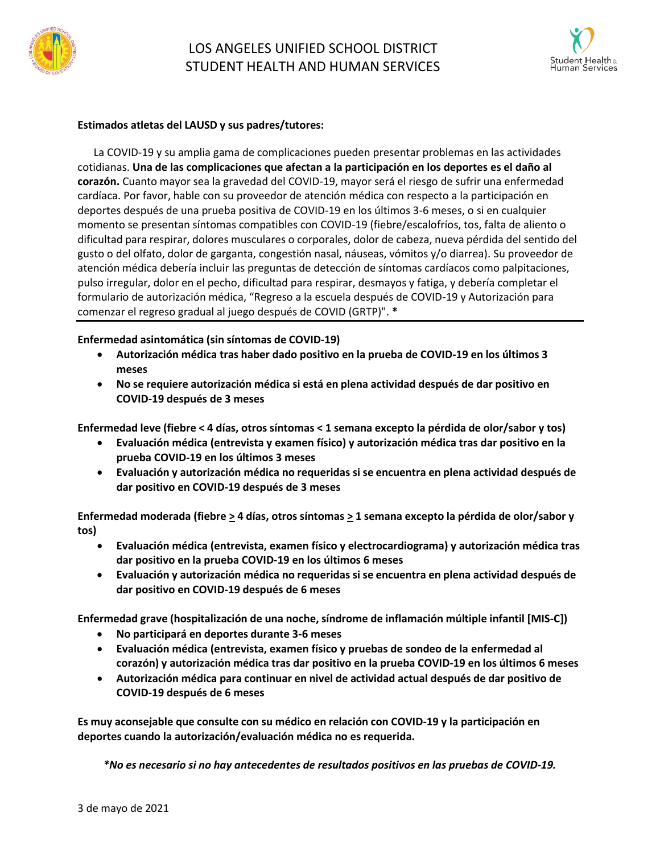



#### **Estimados atletas del LAUSD y sus padres/tutores:**

La COVID-19 y su amplia gama de complicaciones pueden presentar problemas en las actividades cotidianas. **Una de las complicaciones que afectan a la participación en los deportes es el daño al corazón.** Cuanto mayor sea la gravedad del COVID-19, mayor será el riesgo de sufrir una enfermedad cardíaca. Por favor, hable con su proveedor de atención médica con respecto a la participación en deportes después de una prueba positiva de COVID-19 en los últimos 3-6 meses, o si en cualquier momento se presentan síntomas compatibles con COVID-19 (fiebre/escalofríos, tos, falta de aliento o dificultad para respirar, dolores musculares o corporales, dolor de cabeza, nueva pérdida del sentido del gusto o del olfato, dolor de garganta, congestión nasal, náuseas, vómitos y/o diarrea). Su proveedor de atención médica debería incluir las preguntas de detección de síntomas cardíacos como palpitaciones, pulso irregular, dolor en el pecho, dificultad para respirar, desmayos y fatiga, y debería completar el formulario de autorización médica, "Regreso a la escuela después de COVID-19 y Autorización para comenzar el regreso gradual al juego después de COVID (GRTP)". **\***

### **Enfermedad asintomática (sin síntomas de COVID-19)**

- **Autorización médica tras haber dado positivo en la prueba de COVID-19 en los últimos 3 meses**
- **No se requiere autorización médica si está en plena actividad después de dar positivo en COVID-19 después de 3 meses**

Enfermedad leve (fiebre < 4 días, otros síntomas < 1 semana excepto la pérdida de olor/sabor y tos)

- **Evaluación médica (entrevista y examen físico) y autorización médica tras dar positivo en la prueba COVID-19 en los últimos 3 meses**
- **Evaluación y autorización médica no requeridas si se encuentra en plena actividad después de dar positivo en COVID-19 después de 3 meses**

**Enfermedad moderada (fiebre > 4 días, otros síntomas > 1 semana excepto la pérdida de olor/sabor y tos)**

- **Evaluación médica (entrevista, examen físico y electrocardiograma) y autorización médica tras dar positivo en la prueba COVID-19 en los últimos 6 meses**
- **Evaluación y autorización médica no requeridas si se encuentra en plena actividad después de dar positivo en COVID-19 después de 6 meses**

**Enfermedad grave (hospitalización de una noche, síndrome de inflamación múltiple infantil [MIS-C])**

- **No participará en deportes durante 3-6 meses**
- **Evaluación médica (entrevista, examen físico y pruebas de sondeo de la enfermedad al corazón) y autorización médica tras dar positivo en la prueba COVID-19 en los últimos 6 meses**
- **Autorización médica para continuar en nivel de actividad actual después de dar positivo de COVID-19 después de 6 meses**

**Es muy aconsejable que consulte con su médico en relación con COVID-19 y la participación en deportes cuando la autorización/evaluación médica no es requerida.**

*\*No es necesario si no hay antecedentes de resultados positivos en las pruebas de COVID-19.*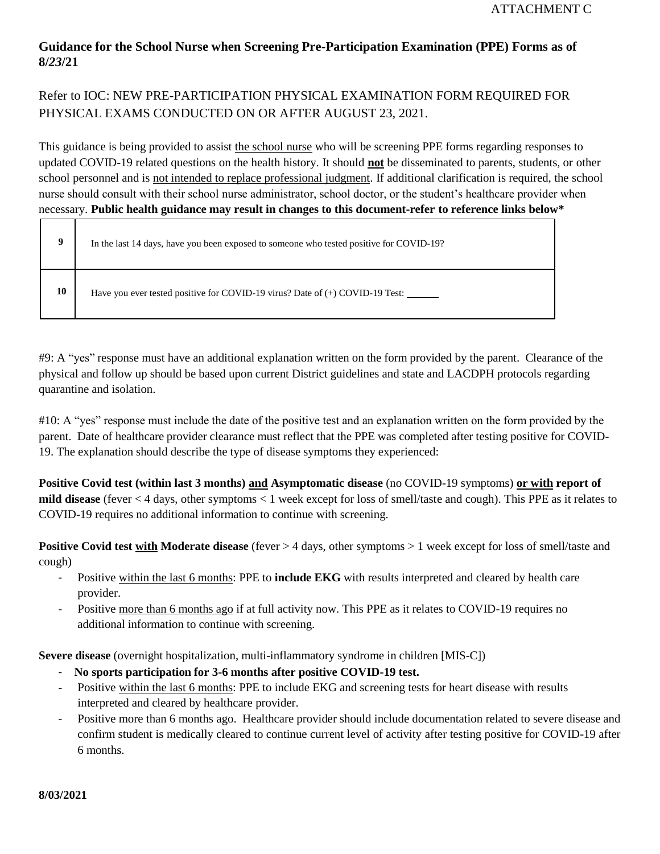## **Guidance for the School Nurse when Screening Pre-Participation Examination (PPE) Forms as of 8/***23***/21**

# Refer to IOC: NEW PRE-PARTICIPATION PHYSICAL EXAMINATION FORM REQUIRED FOR PHYSICAL EXAMS CONDUCTED ON OR AFTER AUGUST 23, 2021.

This guidance is being provided to assist the school nurse who will be screening PPE forms regarding responses to updated COVID-19 related questions on the health history. It should **not** be disseminated to parents, students, or other school personnel and is not intended to replace professional judgment. If additional clarification is required, the school nurse should consult with their school nurse administrator, school doctor, or the student's healthcare provider when necessary. **Public health guidance may result in changes to this document-refer to reference links below\***

|    | In the last 14 days, have you been exposed to someone who tested positive for COVID-19? |
|----|-----------------------------------------------------------------------------------------|
| 10 | Have you ever tested positive for COVID-19 virus? Date of (+) COVID-19 Test: ______     |

#9: A "yes" response must have an additional explanation written on the form provided by the parent. Clearance of the physical and follow up should be based upon current District guidelines and state and LACDPH protocols regarding quarantine and isolation.

#10: A "yes" response must include the date of the positive test and an explanation written on the form provided by the parent. Date of healthcare provider clearance must reflect that the PPE was completed after testing positive for COVID-19. The explanation should describe the type of disease symptoms they experienced:

**Positive Covid test (within last 3 months) and Asymptomatic disease** (no COVID-19 symptoms) **or with report of mild disease** (fever < 4 days, other symptoms < 1 week except for loss of smell/taste and cough). This PPE as it relates to COVID-19 requires no additional information to continue with screening.

**Positive Covid test with Moderate disease** (fever > 4 days, other symptoms > 1 week except for loss of smell/taste and cough)

- Positive within the last 6 months: PPE to **include EKG** with results interpreted and cleared by health care provider.
- Positive more than 6 months ago if at full activity now. This PPE as it relates to COVID-19 requires no additional information to continue with screening.

**Severe disease** (overnight hospitalization, multi-inflammatory syndrome in children [MIS-C])

- **No sports participation for 3-6 months after positive COVID-19 test.**
- Positive within the last 6 months: PPE to include EKG and screening tests for heart disease with results interpreted and cleared by healthcare provider.
- Positive more than 6 months ago. Healthcare provider should include documentation related to severe disease and confirm student is medically cleared to continue current level of activity after testing positive for COVID-19 after 6 months.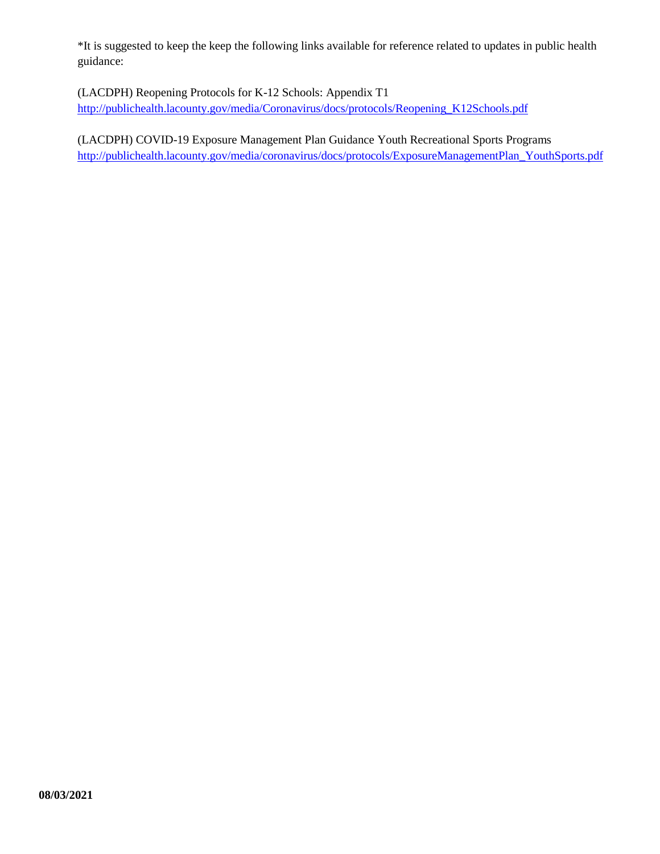\*It is suggested to keep the keep the following links available for reference related to updates in public health guidance:

(LACDPH) Reopening Protocols for K-12 Schools: Appendix T1 [http://publichealth.lacounty.gov/media/Coronavirus/docs/protocols/Reopening\\_K12Schools.pdf](http://publichealth.lacounty.gov/media/Coronavirus/docs/protocols/Reopening_K12Schools.pdf)

(LACDPH) COVID-19 Exposure Management Plan Guidance Youth Recreational Sports Programs [http://publichealth.lacounty.gov/media/coronavirus/docs/protocols/ExposureManagementPlan\\_YouthSports.pdf](http://publichealth.lacounty.gov/media/coronavirus/docs/protocols/ExposureManagementPlan_YouthSports.pdf)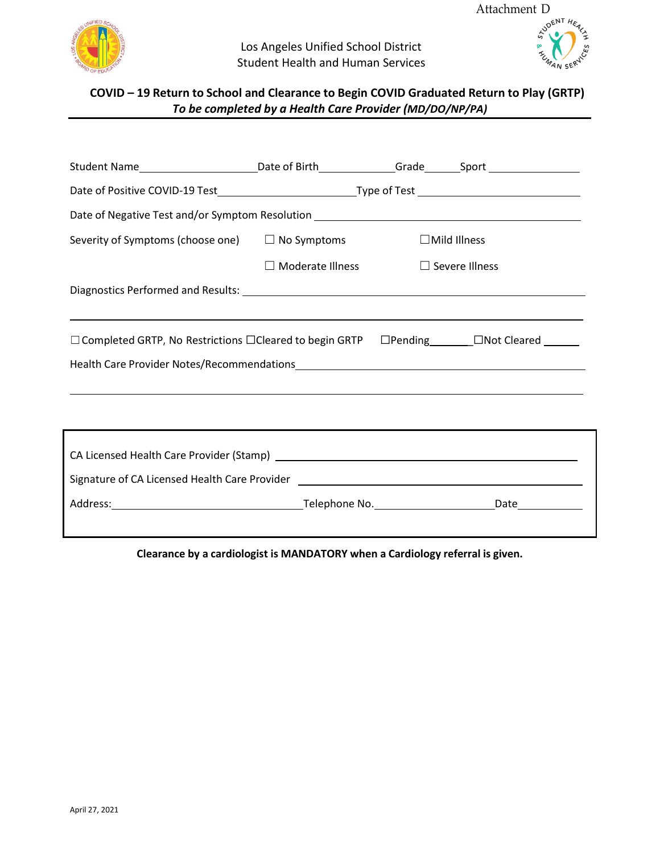



# **COVID – 19 Return to School and Clearance to Begin COVID Graduated Return to Play (GRTP)** *To be completed by a Health Care Provider (MD/DO/NP/PA)*

| Student Name___________________________Date of Birth_______________Grade_______Sport _______________                                                                                                                           |                                               |  |                         |  |  |  |  |  |  |
|--------------------------------------------------------------------------------------------------------------------------------------------------------------------------------------------------------------------------------|-----------------------------------------------|--|-------------------------|--|--|--|--|--|--|
|                                                                                                                                                                                                                                |                                               |  |                         |  |  |  |  |  |  |
| Date of Negative Test and/or Symptom Resolution _________________________________                                                                                                                                              |                                               |  |                         |  |  |  |  |  |  |
| Severity of Symptoms (choose one) $\Box$ No Symptoms                                                                                                                                                                           |                                               |  | $\Box$ Mild Illness     |  |  |  |  |  |  |
|                                                                                                                                                                                                                                | $\Box$ Moderate Illness $\Box$ Severe Illness |  |                         |  |  |  |  |  |  |
|                                                                                                                                                                                                                                |                                               |  |                         |  |  |  |  |  |  |
|                                                                                                                                                                                                                                |                                               |  |                         |  |  |  |  |  |  |
| $\Box$ Completed GRTP, No Restrictions $\Box$ Cleared to begin GRTP                                                                                                                                                            |                                               |  | □Pending □ □Not Cleared |  |  |  |  |  |  |
|                                                                                                                                                                                                                                |                                               |  |                         |  |  |  |  |  |  |
|                                                                                                                                                                                                                                |                                               |  |                         |  |  |  |  |  |  |
|                                                                                                                                                                                                                                |                                               |  |                         |  |  |  |  |  |  |
| ,我们也不能会有什么。""我们的人,我们也不能会有什么?""我们的人,我们也不能会有什么?""我们的人,我们也不能会有什么?""我们的人,我们也不能会有什么?""                                                                                                                                              |                                               |  |                         |  |  |  |  |  |  |
|                                                                                                                                                                                                                                |                                               |  |                         |  |  |  |  |  |  |
| Signature of CA Licensed Health Care Provider [1988] [1989] [1989] [1989] [1989] [1989] [1989] [1989] [1989] [                                                                                                                 |                                               |  |                         |  |  |  |  |  |  |
| Address: National Address: Address: Address: Address: Address: Address: Address: Address: Address: Address: Address: Address: Address: Address: Address: Address: Address: Address: Address: Address: Address: Address: Addres |                                               |  |                         |  |  |  |  |  |  |
|                                                                                                                                                                                                                                |                                               |  |                         |  |  |  |  |  |  |

**Clearance by a cardiologist is MANDATORY when a Cardiology referral is given.**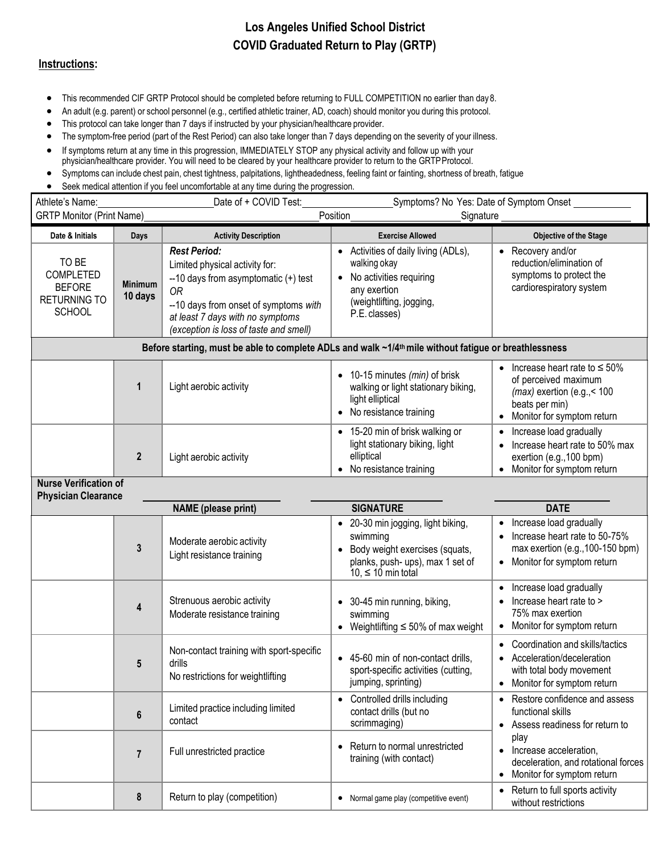# **Los Angeles Unified School District COVID Graduated Return to Play (GRTP)**

#### **Instructions:**

- This recommended CIF GRTP Protocol should be completed before returning to FULL COMPETITION no earlier than day8.
- An adult (e.g. parent) or school personnel (e.g., certified athletic trainer, AD, coach) should monitor you during this protocol.
- This protocol can take longer than 7 days if instructed by your physician/healthcare provider.
- The symptom-free period (part of the Rest Period) can also take longer than 7 days depending on the severity of your illness.
- If symptoms return at any time in this progression, IMMEDIATELY STOP any physical activity and follow up with your physician/healthcare provider. You will need to be cleared by your healthcare provider to return to the GRTPProtocol.
- Symptoms can include chest pain, chest tightness, palpitations, lightheadedness, feeling faint or fainting, shortness of breath, fatigue
- Seek medical attention if you feel uncomfortable at any time during the progression.

| Athlete's Name:<br><b>GRTP Monitor (Print Name)</b>                                            |                                   | Date of + COVID Test:                                                                                                                                                                                                                                               | Symptoms? No Yes: Date of Symptom Onset<br>Position<br>Signature                                                                                                        |                                                                                                                                                                   |
|------------------------------------------------------------------------------------------------|-----------------------------------|---------------------------------------------------------------------------------------------------------------------------------------------------------------------------------------------------------------------------------------------------------------------|-------------------------------------------------------------------------------------------------------------------------------------------------------------------------|-------------------------------------------------------------------------------------------------------------------------------------------------------------------|
|                                                                                                |                                   |                                                                                                                                                                                                                                                                     |                                                                                                                                                                         |                                                                                                                                                                   |
| Date & Initials<br>TO BE<br><b>COMPLETED</b><br><b>BEFORE</b><br>RETURNING TO<br><b>SCHOOL</b> | Days<br><b>Minimum</b><br>10 days | <b>Activity Description</b><br><b>Rest Period:</b><br>Limited physical activity for:<br>$-10$ days from asymptomatic $(+)$ test<br><b>OR</b><br>--10 days from onset of symptoms with<br>at least 7 days with no symptoms<br>(exception is loss of taste and smell) | <b>Exercise Allowed</b><br>• Activities of daily living (ADLs),<br>walking okay<br>No activities requiring<br>any exertion<br>(weightlifting, jogging,<br>P.E. classes) | Objective of the Stage<br>• Recovery and/or<br>reduction/elimination of<br>symptoms to protect the<br>cardiorespiratory system                                    |
|                                                                                                |                                   | Before starting, must be able to complete ADLs and walk ~1/4th mile without fatigue or breathlessness                                                                                                                                                               |                                                                                                                                                                         |                                                                                                                                                                   |
|                                                                                                | 1                                 | Light aerobic activity                                                                                                                                                                                                                                              | • 10-15 minutes (min) of brisk<br>walking or light stationary biking,<br>light elliptical<br>• No resistance training                                                   | • Increase heart rate to $\leq 50\%$<br>of perceived maximum<br>$(max)$ exertion (e.g., < 100<br>beats per min)<br>Monitor for symptom return<br>$\bullet$        |
|                                                                                                | $\mathbf{2}$                      | Light aerobic activity                                                                                                                                                                                                                                              | • 15-20 min of brisk walking or<br>light stationary biking, light<br>elliptical<br>No resistance training                                                               | Increase load gradually<br>$\bullet$<br>Increase heart rate to 50% max<br>exertion (e.g., 100 bpm)<br>Monitor for symptom return                                  |
| <b>Nurse Verification of</b><br><b>Physician Clearance</b>                                     |                                   |                                                                                                                                                                                                                                                                     |                                                                                                                                                                         |                                                                                                                                                                   |
| <b>NAME</b> (please print)                                                                     |                                   | <b>SIGNATURE</b>                                                                                                                                                                                                                                                    | <b>DATE</b>                                                                                                                                                             |                                                                                                                                                                   |
|                                                                                                | 3                                 | Moderate aerobic activity<br>Light resistance training                                                                                                                                                                                                              | • 20-30 min jogging, light biking,<br>swimming<br>Body weight exercises (squats,<br>planks, push- ups), max 1 set of<br>10, $\leq$ 10 min total                         | Increase load gradually<br>$\bullet$<br>Increase heart rate to 50-75%<br>$\bullet$<br>max exertion (e.g., 100-150 bpm)<br>Monitor for symptom return<br>$\bullet$ |
|                                                                                                | 4                                 | Strenuous aerobic activity<br>Moderate resistance training                                                                                                                                                                                                          | • 30-45 min running, biking,<br>swimming<br>• Weightlifting $\leq 50\%$ of max weight                                                                                   | Increase load gradually<br>$\bullet$<br>Increase heart rate to ><br>75% max exertion<br>Monitor for symptom return<br>$\bullet$                                   |
|                                                                                                | 5                                 | Non-contact training with sport-specific<br>drills<br>No restrictions for weightlifting                                                                                                                                                                             | • 45-60 min of non-contact drills,<br>sport-specific activities (cutting,<br>jumping, sprinting)                                                                        | Coordination and skills/tactics<br>$\bullet$<br>• Acceleration/deceleration<br>with total body movement<br>Monitor for symptom return                             |
|                                                                                                | $\boldsymbol{6}$                  | Limited practice including limited<br>contact                                                                                                                                                                                                                       | Controlled drills including<br>contact drills (but no<br>scrimmaging)                                                                                                   | • Restore confidence and assess<br>functional skills<br>• Assess readiness for return to                                                                          |
|                                                                                                | $\overline{7}$                    | Full unrestricted practice                                                                                                                                                                                                                                          | Return to normal unrestricted<br>training (with contact)                                                                                                                | play<br>Increase acceleration,<br>$\bullet$<br>deceleration, and rotational forces<br>Monitor for symptom return<br>$\bullet$                                     |
|                                                                                                | 8                                 | Return to play (competition)                                                                                                                                                                                                                                        | Normal game play (competitive event)                                                                                                                                    | Return to full sports activity<br>without restrictions                                                                                                            |